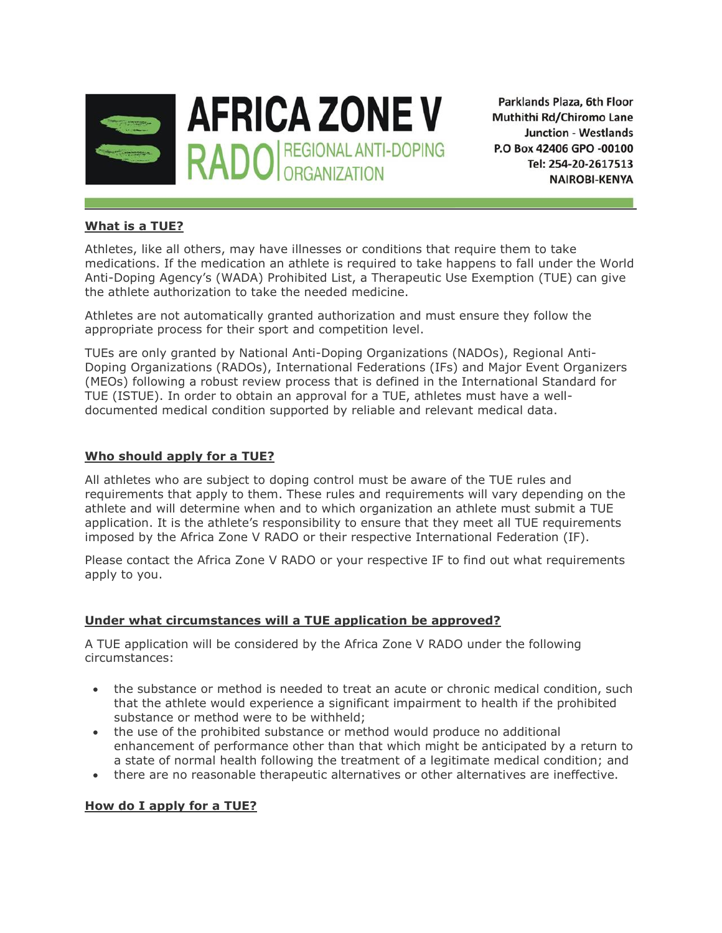

**AFRICA ZONE V** RADO REGIONAL ANTI-DOPING

Parklands Plaza, 6th Floor Muthithi Rd/Chiromo Lane **Junction - Westlands** P.O Box 42406 GPO -00100 Tel: 254-20-2617513 **NAIROBI-KENYA** 

# **What is a TUE?**

Athletes, like all others, may have illnesses or conditions that require them to take medications. If the medication an athlete is required to take happens to fall under the World Anti-Doping Agency's (WADA) Prohibited List, a Therapeutic Use Exemption (TUE) can give the athlete authorization to take the needed medicine.

Athletes are not automatically granted authorization and must ensure they follow the appropriate process for their sport and competition level.

TUEs are only granted by National Anti-Doping Organizations (NADOs), Regional Anti-Doping Organizations (RADOs), International Federations (IFs) and Major Event Organizers (MEOs) following a robust review process that is defined in the International Standard for TUE (ISTUE). In order to obtain an approval for a TUE, athletes must have a welldocumented medical condition supported by reliable and relevant medical data.

### **Who should apply for a TUE?**

All athletes who are subject to doping control must be aware of the TUE rules and requirements that apply to them. These rules and requirements will vary depending on the athlete and will determine when and to which organization an athlete must submit a TUE application. It is the athlete's responsibility to ensure that they meet all TUE requirements imposed by the Africa Zone V RADO or their respective International Federation (IF).

Please contact the Africa Zone V RADO or your respective IF to find out what requirements apply to you.

# **Under what circumstances will a TUE application be approved?**

A TUE application will be considered by the Africa Zone V RADO under the following circumstances:

- the substance or method is needed to treat an acute or chronic medical condition, such that the athlete would experience a significant impairment to health if the prohibited substance or method were to be withheld;
- the use of the prohibited substance or method would produce no additional enhancement of performance other than that which might be anticipated by a return to a state of normal health following the treatment of a legitimate medical condition; and
- there are no reasonable therapeutic alternatives or other alternatives are ineffective.

# **How do I apply for a TUE?**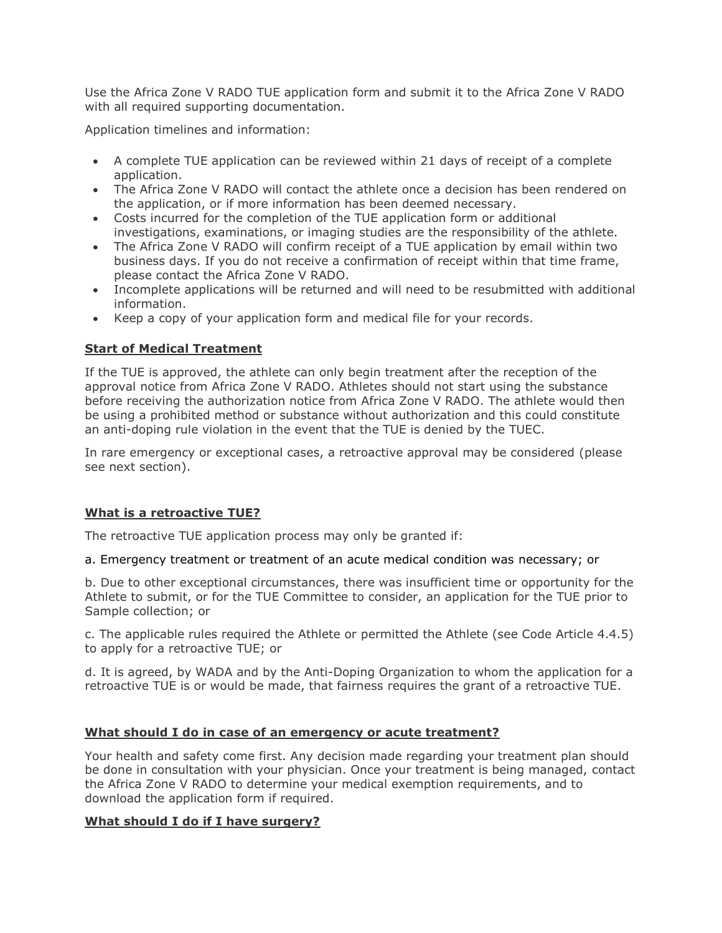Use the Africa Zone V RADO TUE application form and submit it to the Africa Zone V RADO with all required supporting documentation.

Application timelines and information:

- A complete TUE application can be reviewed within 21 days of receipt of a complete application.
- The Africa Zone V RADO will contact the athlete once a decision has been rendered on the application, or if more information has been deemed necessary.
- Costs incurred for the completion of the TUE application form or additional investigations, examinations, or imaging studies are the responsibility of the athlete.
- The Africa Zone V RADO will confirm receipt of a TUE application by email within two business days. If you do not receive a confirmation of receipt within that time frame, please contact the Africa Zone V RADO.
- Incomplete applications will be returned and will need to be resubmitted with additional information.
- Keep a copy of your application form and medical file for your records.

### **Start of Medical Treatment**

If the TUE is approved, the athlete can only begin treatment after the reception of the approval notice from Africa Zone V RADO. Athletes should not start using the substance before receiving the authorization notice from Africa Zone V RADO. The athlete would then be using a prohibited method or substance without authorization and this could constitute an anti-doping rule violation in the event that the TUE is denied by the TUEC.

In rare emergency or exceptional cases, a retroactive approval may be considered (please see next section).

#### **What is a retroactive TUE?**

The retroactive TUE application process may only be granted if:

a. Emergency treatment or treatment of an acute medical condition was necessary; or

b. Due to other exceptional circumstances, there was insufficient time or opportunity for the Athlete to submit, or for the TUE Committee to consider, an application for the TUE prior to Sample collection; or

c. The applicable rules required the Athlete or permitted the Athlete (see Code Article 4.4.5) to apply for a retroactive TUE; or

d. It is agreed, by WADA and by the Anti-Doping Organization to whom the application for a retroactive TUE is or would be made, that fairness requires the grant of a retroactive TUE.

#### **What should I do in case of an emergency or acute treatment?**

Your health and safety come first. Any decision made regarding your treatment plan should be done in consultation with your physician. Once your treatment is being managed, contact the Africa Zone V RADO to determine your medical exemption requirements, and to download the application form if required.

#### **What should I do if I have surgery?**